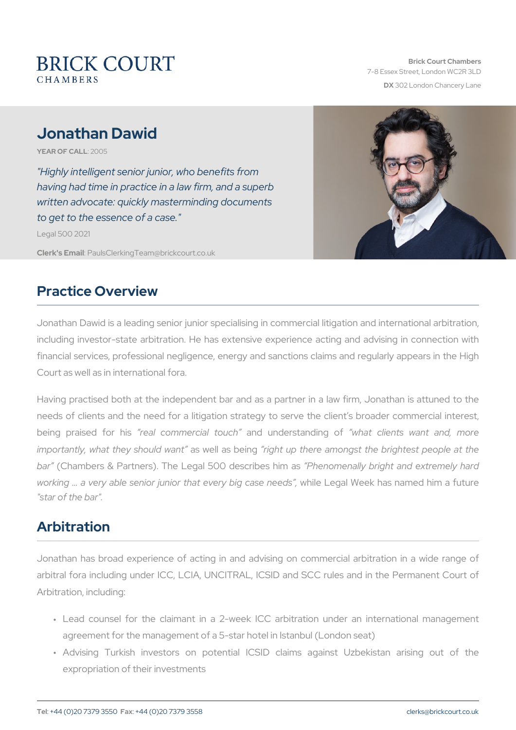# Jonathan Dawid

YEAR OF CA2LOL05

"Highly intelligent senior junior, who benefits from having had time in practice in a law firm, and a superb written advocate: quickly masterminding documents to get to the essence of a case." Legal 500 2021

Clerk's EP aulsClerking Team @brickcourt.co.uk

#### Practice Overview

Jonathan Dawid is a leading senior junior specialising in commercial including investor-state arbitration. He has extensive experience ac financial services, professional negligence, energy and sanctions cla Court as well as in international fora.

Having practised both at the independent bar and as a partner in a needs of clients and the need for a litigation strategy to serve the being praised fieal hoismmercial and outch derstand winn at odlients want and importantly, what they as hould awant fould there amongst the brightest people at the stightest people at the  $n$ bar (Chambers & Partners). The Legal 5PChOendoenseniableys bhinghasand extremely hard bright and extremely hard  $\frac{1}{2}$ working & a very able senior junior thwahtilevery ablig Weekehas ends and him a future is not a function of th "star of the bar".

#### Arbitration

Jonathan has broad experience of acting in and advising on comme arbitral fora including under ICC, LCIA, UNCITRAL, ICSID and SCC Arbitration, including:

- " Lead counsel for the claimant in a 2-week ICC arbitration un agreement for the management of a 5-star hotel in Istanbul (London
- " Advising Turkish investors on potential ICSID claims agair expropriation of their investments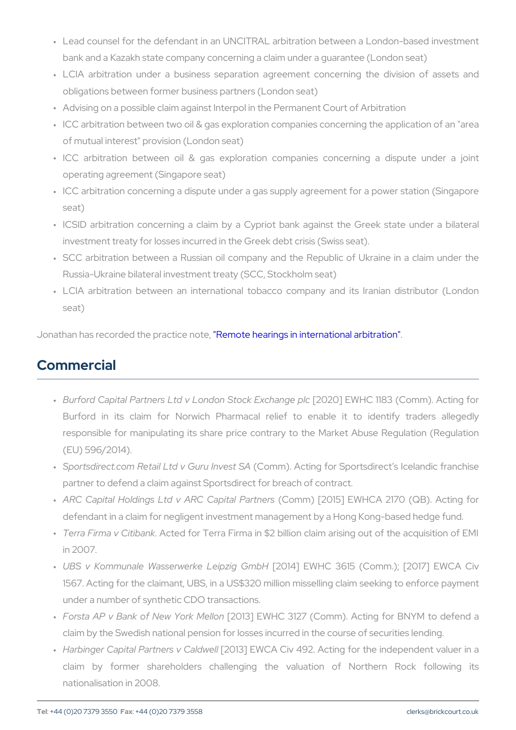- " Lead counsel for the defendant in an UNCITRAL arbitration betwe bank and a Kazakh state company concerning a claim under a guar
- " LCIA arbitration under a business separation agreement conce obligations between former business partners (London seat)
- " Advising on a possible claim against Interpol in the Permanent Co
- " ICC arbitration between two oil & gas exploration companies conc of mutual interest" provision (London seat)
- "ICC arbitration between oil & gas exploration companies con operating agreement (Singapore seat)
- " ICC arbitration concerning a dispute under a gas supply agreemer seat)
- " ICSID arbitration concerning a claim by a Cypriot bank against investment treaty for losses incurred in the Greek debt crisis (Swi
- " SCC arbitration between a Russian oil company and the Republi Russia-Ukraine bilateral investment treaty (SCC, Stockholm seat)
- " LCIA arbitration between an international tobacco company and seat)

Jonathan has recorded the **Remotecheatings in international arbitration** 

## Commercial

- " Burford Capital Partners Ltd v Londo[n20S2tOb]ckEWEkHoChannig1e38 p(Dcomm). A Burford in its claim for Norwich Pharmacal relief to enab responsible for manipulating its share price contrary to the Mar (EU) 596/2014).
- " Sportsdirect.com Retail Ltd (CGmmmu).In Avoetsing SA or Sportsdirect s Ice partner to defend a claim against Sportsdirect for breach of contra
- " ARC Capital Holdings Ltd v AR(CCoCmamp)'ta[20Pla5i]'tnEeWsHCA 2170 (QB defendant in a claim for negligent investment management by a Ho
- " Terra Firma v. CAicitheadn kor Terra Firma in \$2 billion claim arising o in 2007.
- " UBS v Kommunale Wasserwerk[e2011e4i]pzEigWHGQmb3H615 (Comm.); [2017] 1567. Acting for the claimant, UBS, in a US\$320 million missellin under a number of synthetic CDO transactions.
- " Forsta AP v Bank of Ne [w20Y1o3r]k ENWe.HII (Qomm). Acting for B claim by the Swedish national pension for losses incurred in the c
- " Harbinger Capital Partn@26913] CEaVKdOw AelCiv 492. Acting for the inde claim by former shareholders challenging the valuation nationalisation in 2008.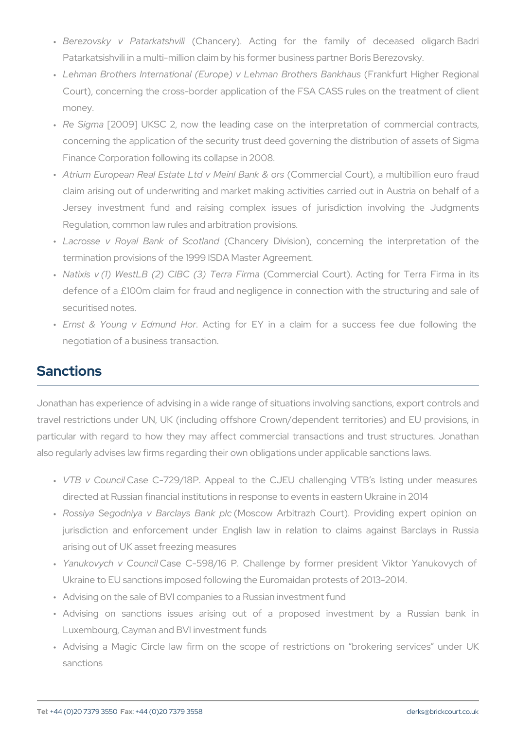- "Berezovsky v Patą́Ckhætnsohevnilyi). Acting for the family of d Patarkatsishvili in a multi-million claim by his former business partner
- " Lehman Brothers International (Europe) v L(eFhmanakfuBrntotHhiognhaenBaRnek Court), concerning the cross-border application of the FSA CASS money.
- " Re Sign2a009] UKSC 2, now the leading case on the interpretation concerning the application of the security trust deed governing the Finance Corporation following its collapse in 2008.
- " Atrium European Real Estate Ltd( @oMh**enie.ic Baaln & o&uro)**r,s a multibillion claim arising out of underwriting and market making activities ca Jersey investment fund and raising complex issues of juristion Regulation, common law rules and arbitration provisions.
- " Lacrosse v Royal Bank(Cohfan§eoytlaDidvision), concerning the in termination provisions of the 1999 ISDA Master Agreement.
- " Natixis v (1) WestLB (2) CIB(CC o(n8)m eTr**e**ra & Corumra). Acting for Te defence of a £100m claim for fraud and negligence in connection securitised notes.
- " Ernst & Young v EdAmoutinndg Hfoorr EY in a claim for a success negotiation of a business transaction.

#### Sanctions

Jonathan has experience of advising in a wide range of situations inv travel restrictions under UN, UK (including offshore Crown/depender particular with regard to how they may affect commercial transactions also regularly advises law firms regarding their own obligations under

- " VTB v CoQasel C-729/18P. Appeal to the CJEU challenging VTI directed at Russian financial institutions in response to events in
- " Rossiya Segodniya v Ba(Mloasyosow BaAhkbiphlazh Court). Providing e jurisdiction and enforcement under English law in relation to arising out of UK asset freezing measures
- " Yanukovych v CCaosuen cCI-598/16 P. Challenge by former president Ukraine to EU sanctions imposed following the Euromaidan protest
- " Advising on the sale of BVI companies to a Russian investment fur
- " Advising on sanctions issues arising out of a proposed Luxembourg, Cayman and BVI investment funds
- " Advising a Magic Circle law firm on the scope of restrictions sanctions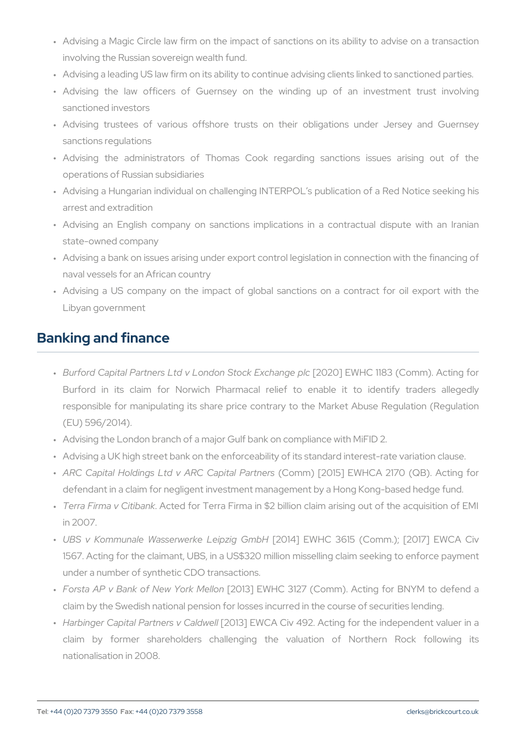- " Advising a Magic Circle law firm on the impact of sanctions on i involving the Russian sovereign wealth fund.
- " Advising a leading US law firm on its ability to continue advising on
- " Advising the law officers of Guernsey on the winding up sanctioned investors
- " Advising trustees of various offshore trusts on their obligat sanctions regulations
- " Advising the administrators of Thomas Cook regarding sand operations of Russian subsidiaries
- " Advising a Hungarian individual on challenging INTERPOL s publi arrest and extradition
- " Advising an English company on sanctions implications in a c state-owned company
- " Advising a bank on issues arising under export control legislation naval vessels for an African country
- " Advising a US company on the impact of global sanctions on Libyan government

## Banking and finance

- " Burford Capital Partners Ltd v Londo[n20S2tOb]ckEWEkHoChannig1e38 p(Dcomm). A Burford in its claim for Norwich Pharmacal relief to enab responsible for manipulating its share price contrary to the Mar (EU) 596/2014).
- " Advising the London branch of a major Gulf bank on compliance wi
- " Advising a UK high street bank on the enforceability of its standar
- " ARC Capital Holdings Ltd v AR(CCoCmamp)'ta[20Pla5ir]'tnEeWsHCA 2170 (QB defendant in a claim for negligent investment management by a Ho
- " Terra Firma v. OAicitheadnikor Terra Firma in \$2 billion claim arising o in 2007.
- " UBS v Kommunale Wasserwerk[e2011e4i]pzEigWHGQmb3H615 (Comm.); [2017] 1567. Acting for the claimant, UBS, in a US\$320 million missellin under a number of synthetic CDO transactions.
- " Forsta AP v Bank of Ne [w20Y1o3r]k ENWe HII (@n3127 (Comm). Acting for B claim by the Swedish national pension for losses incurred in the c
- " Harbinger Capital Partn@26913] CEaVKdOw AelCiv 492. Acting for the inde claim by former shareholders challenging the valuation nationalisation in 2008.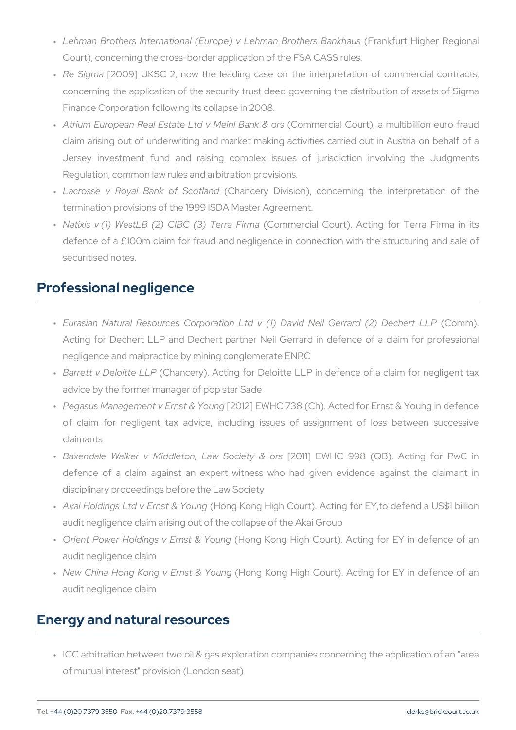- " Lehman Brothers International (Europe) v L(eFhmanakfuBrntotHhiognhaenBaRnek Court), concerning the cross-border application of the FSA CASS r
- " Re Sign2a009] UKSC 2, now the leading case on the interpretat concerning the application of the security trust deed governing the Finance Corporation following its collapse in 2008.
- " Atrium European Real Estate Ltd( @oMh**enie.ic Baaln & o&uro)**r,s a multibillion claim arising out of underwriting and market making activities ca Jersey investment fund and raising complex issues of juristion Regulation, common law rules and arbitration provisions.
- " Lacrosse v Royal Bank(Cohfan§eoytlaDidvision), concerning the in termination provisions of the 1999 ISDA Master Agreement.
- " Natixis v (1) WestLB (2) CIB(CC o(n8)m eTr**e**ria & Corumra). Acting for Te defence of a £100m claim for fraud and negligence in connection securitised notes.

### Professional negligence

- " Eurasian Natural Resources Corporation Ltd v (1) Da(Ciodminolle.il Acting for Dechert LLP and Dechert partner Neil Gerrard in def negligence and malpractice by mining conglomerate ENRC
- " Barrett v Deloi(tCtehaLnLcPery). Acting for Deloitte LLP in defence of advice by the former manager of pop star Sade
- " Pegasus Management v E[2nOs1t2 & EY\WibHnCg 738 (Ch). Acted for Ernst & of claim for negligent tax advice, including issues of assig claimants
- " Baxendale Walker v Middleton, [280w1]SoEcWeHtyC & 998 rs(QB). Acting defence of a claim against an expert witness who had given disciplinary proceedings before the Law Society
- " Akai Holdings Ltd v E(Hisstng& KYoonugngHigh Court). Acting for EY,to d audit negligence claim arising out of the collapse of the Akai Group
- " Orient Power Holdings v (Ehronsy & oYngumhojgh Court). Acting for EY audit negligence claim
- " New China Hong Kong v Ehlonstg & KoYnogunHgigh Court). Acting for EY audit negligence claim

#### Energy and natural resources

" ICC arbitration between two oil & gas exploration companies conc of mutual interest" provision (London seat)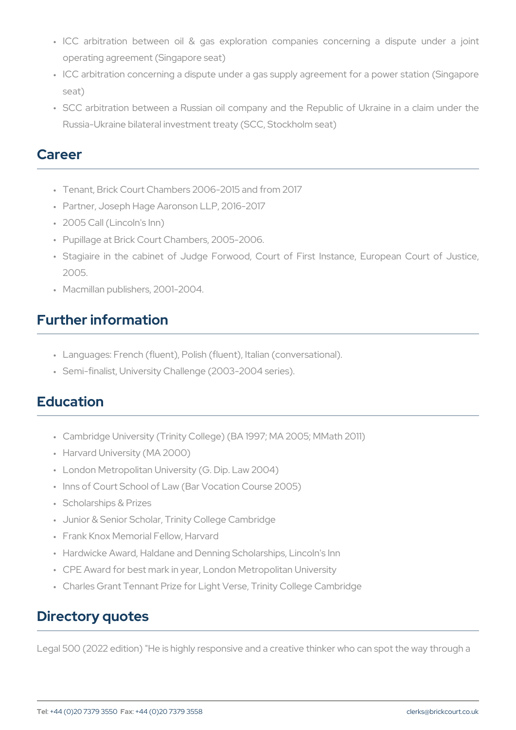- "ICC arbitration between oil & gas exploration companies con operating agreement (Singapore seat)
- " ICC arbitration concerning a dispute under a gas supply agreemer seat)
- " SCC arbitration between a Russian oil company and the Republi Russia-Ukraine bilateral investment treaty (SCC, Stockholm seat)

#### Career

- " Tenant, Brick Court Chambers 2006-2015 and from 2017
- " Partner, Joseph Hage Aaronson LLP, 2016-2017
- " 2005 Call (Lincoln's Inn)
- " Pupillage at Brick Court Chambers, 2005-2006.
- " Stagiaire in the cabinet of Judge Forwood, Court of First Inst 2005.
- " Macmillan publishers, 2001-2004.

## Further information

- " Languages: French (fluent), Polish (fluent), Italian (conversational).
- " Semi-finalist, University Challenge (2003-2004 series).

# Education

- " Cambridge University (Trinity College) (BA 1997; MA 2005; MMath
- " Harvard University (MA 2000)
- " London Metropolitan University (G. Dip. Law 2004)
- " Inns of Court School of Law (Bar Vocation Course 2005)
- " Scholarships & Prizes
- " Junior & Senior Scholar, Trinity College Cambridge
- " Frank Knox Memorial Fellow, Harvard
- " Hardwicke Award, Haldane and Denning Scholarships, Lincoln's Inn
- " CPE Award for best mark in year, London Metropolitan University
- " Charles Grant Tennant Prize for Light Verse, Trinity College Camb

### Directory quotes

Legal 500 (2022 edition) "He is highly responsive and a creative think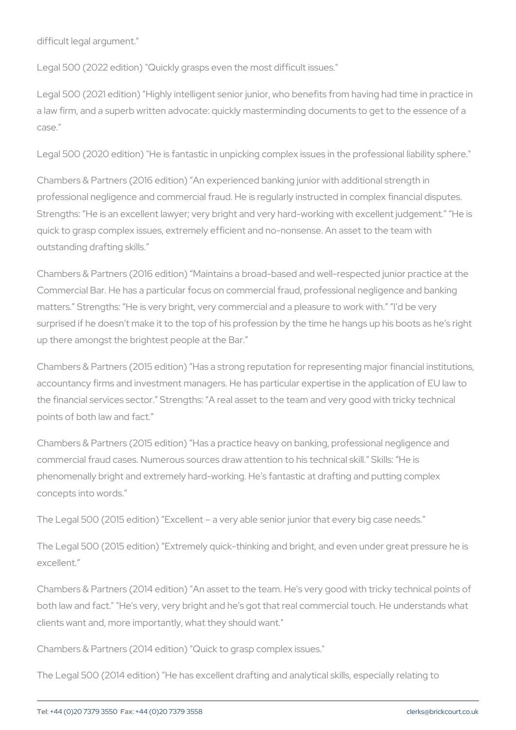difficult legal argument."

Legal 500 (2022 edition) "Quickly grasps even the most difficult issue

Legal 500 (2021 edition) "Highly intelligent senior junior, who benefit a law firm, and a superb written advocate: quickly masterminding docu case."

Legal 500 (2020 edition) "He is fantastic in unpicking complex issues

Chambers & Partners (2016 edition) An experienced banking junior with professional negligence and commercial fraud. He is regularly instruct Strengths: He is an excellent lawyer; very bright and very hard-worki quick to grasp complex issues, extremely efficient and no-nonsense. A outstanding drafting skills.

Chambers & Partners (2016 edition) Maintains a broad-based and well Commercial Bar. He has a particular focus on commercial fraud, profe matters. Strengths: He is very bright, very commercial and a pleasur surprised if he doesn t make it to the top of his profession by the time up there amongst the brightest people at the Bar.

Chambers & Partners (2015 edition) Has a strong reputation for repre accountancy firms and investment managers. He has particular experti the financial services sector. Strengths: A real asset to the team an points of both law and fact.

Chambers & Partners (2015 edition) Has a practice heavy on banking, commercial fraud cases. Numerous sources draw attention to his techn phenomenally bright and extremely hard-working. He s fantastic at dra concepts into words.

The Legal 500 (2015 edition) Excellent a very able senior junior that

The Legal 500 (2015 edition) Extremely quick-thinking and bright, and excellent.

Chambers & Partners (2014 edition) "An asset to the team. He's very good and the technical points of the technical points of the technical points of the technical points of the technical points of the technical points of t both law and fact." "He's very, very bright and he's got that real comm clients want and, more importantly, what they should want."

Chambers & Partners (2014 edition) "Quick to grasp complex issues."

The Legal 500 (2014 edition) He has excellent drafting and analytical